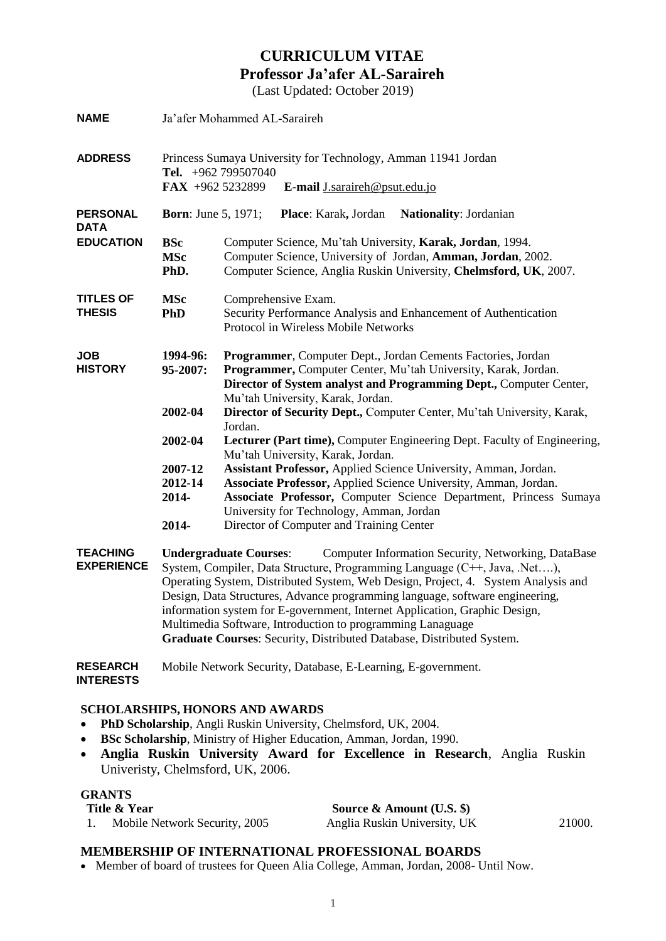# **CURRICULUM VITAE Professor Ja'afer AL-Saraireh**

(Last Updated: October 2019)

| <b>NAME</b>                          | Ja'afer Mohammed AL-Saraireh                                                                                                                                                                                                                                                                                                                                                                                                                                                                                                                                |                                                                                                                                                                                                                                                     |  |  |
|--------------------------------------|-------------------------------------------------------------------------------------------------------------------------------------------------------------------------------------------------------------------------------------------------------------------------------------------------------------------------------------------------------------------------------------------------------------------------------------------------------------------------------------------------------------------------------------------------------------|-----------------------------------------------------------------------------------------------------------------------------------------------------------------------------------------------------------------------------------------------------|--|--|
| <b>ADDRESS</b>                       | Princess Sumaya University for Technology, Amman 11941 Jordan<br>Tel. $+962$ 799507040<br>FAX +962 5232899<br>E-mail J.saraireh@psut.edu.jo                                                                                                                                                                                                                                                                                                                                                                                                                 |                                                                                                                                                                                                                                                     |  |  |
| <b>PERSONAL</b><br><b>DATA</b>       | <b>Born:</b> June 5, 1971;                                                                                                                                                                                                                                                                                                                                                                                                                                                                                                                                  | Nationality: Jordanian<br>Place: Karak, Jordan                                                                                                                                                                                                      |  |  |
| <b>EDUCATION</b>                     | <b>BSc</b><br><b>MSc</b><br>PhD.                                                                                                                                                                                                                                                                                                                                                                                                                                                                                                                            | Computer Science, Mu'tah University, Karak, Jordan, 1994.<br>Computer Science, University of Jordan, Amman, Jordan, 2002.<br>Computer Science, Anglia Ruskin University, Chelmsford, UK, 2007.                                                      |  |  |
| <b>TITLES OF</b><br><b>THESIS</b>    | <b>MSc</b><br><b>PhD</b>                                                                                                                                                                                                                                                                                                                                                                                                                                                                                                                                    | Comprehensive Exam.<br>Security Performance Analysis and Enhancement of Authentication<br>Protocol in Wireless Mobile Networks                                                                                                                      |  |  |
| <b>JOB</b><br><b>HISTORY</b>         | 1994-96:<br>95-2007:                                                                                                                                                                                                                                                                                                                                                                                                                                                                                                                                        | Programmer, Computer Dept., Jordan Cements Factories, Jordan<br>Programmer, Computer Center, Mu'tah University, Karak, Jordan.<br>Director of System analyst and Programming Dept., Computer Center,                                                |  |  |
|                                      | 2002-04                                                                                                                                                                                                                                                                                                                                                                                                                                                                                                                                                     | Mu'tah University, Karak, Jordan.<br>Director of Security Dept., Computer Center, Mu'tah University, Karak,<br>Jordan.                                                                                                                              |  |  |
|                                      | 2002-04                                                                                                                                                                                                                                                                                                                                                                                                                                                                                                                                                     | Lecturer (Part time), Computer Engineering Dept. Faculty of Engineering,<br>Mu'tah University, Karak, Jordan.                                                                                                                                       |  |  |
|                                      | 2007-12<br>2012-14<br>2014-                                                                                                                                                                                                                                                                                                                                                                                                                                                                                                                                 | Assistant Professor, Applied Science University, Amman, Jordan.<br>Associate Professor, Applied Science University, Amman, Jordan.<br>Associate Professor, Computer Science Department, Princess Sumaya<br>University for Technology, Amman, Jordan |  |  |
|                                      | 2014-                                                                                                                                                                                                                                                                                                                                                                                                                                                                                                                                                       | Director of Computer and Training Center                                                                                                                                                                                                            |  |  |
| <b>TEACHING</b><br><b>EXPERIENCE</b> | <b>Undergraduate Courses:</b><br>Computer Information Security, Networking, DataBase<br>System, Compiler, Data Structure, Programming Language (C++, Java, .Net),<br>Operating System, Distributed System, Web Design, Project, 4. System Analysis and<br>Design, Data Structures, Advance programming language, software engineering,<br>information system for E-government, Internet Application, Graphic Design,<br>Multimedia Software, Introduction to programming Lanaguage<br>Graduate Courses: Security, Distributed Database, Distributed System. |                                                                                                                                                                                                                                                     |  |  |
| <b>RESEARCH</b><br><b>INTERESTS</b>  | Mobile Network Security, Database, E-Learning, E-government.                                                                                                                                                                                                                                                                                                                                                                                                                                                                                                |                                                                                                                                                                                                                                                     |  |  |

## **SCHOLARSHIPS, HONORS AND AWARDS**

- **PhD Scholarship**, Angli Ruskin University, Chelmsford, UK, 2004.
- **BSc Scholarship**, Ministry of Higher Education, Amman, Jordan, 1990.
- **Anglia Ruskin University Award for Excellence in Research**, Anglia Ruskin Univeristy, Chelmsford, UK, 2006.

## **GRANTS**

| Title & Year                  | Source & Amount $(U.S.$ \$)  |        |
|-------------------------------|------------------------------|--------|
| Mobile Network Security, 2005 | Anglia Ruskin University, UK | 21000. |

### **MEMBERSHIP OF INTERNATIONAL PROFESSIONAL BOARDS**

Member of board of trustees for Queen Alia College, Amman, Jordan, 2008- Until Now.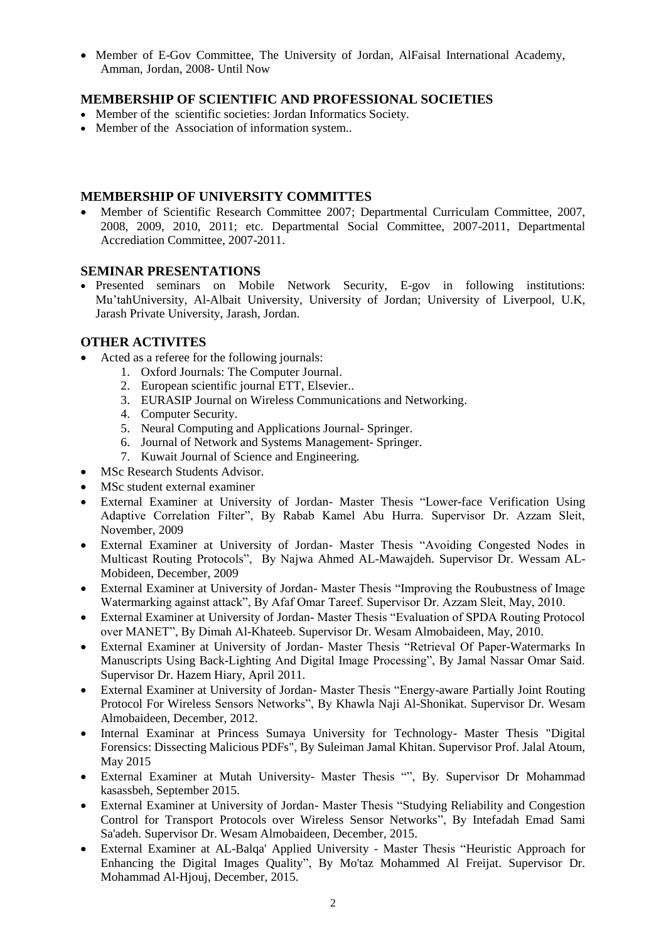Member of E-Gov Committee, The University of Jordan, AlFaisal International Academy, Amman, Jordan, 2008- Until Now

# **MEMBERSHIP OF SCIENTIFIC AND PROFESSIONAL SOCIETIES**

- Member of the scientific societies: Jordan Informatics Society.
- Member of the Association of information system..

## **MEMBERSHIP OF UNIVERSITY COMMITTES**

 Member of Scientific Research Committee 2007; Departmental Curriculam Committee, 2007, 2008, 2009, 2010, 2011; etc. Departmental Social Committee, 2007-2011, Departmental Accrediation Committee, 2007-2011.

## **SEMINAR PRESENTATIONS**

 Presented seminars on Mobile Network Security, E-gov in following institutions: Mu'tahUniversity, Al-Albait University, University of Jordan; University of Liverpool, U.K, Jarash Private University, Jarash, Jordan.

## **OTHER ACTIVITES**

- Acted as a referee for the following journals:
	- 1. Oxford Journals: The Computer Journal.
	- 2. European scientific journal ETT, Elsevier..
	- 3. EURASIP Journal on Wireless Communications and Networking.
	- 4. Computer Security.
	- 5. Neural Computing and Applications Journal- Springer.
	- 6. Journal of Network and Systems Management- Springer.
	- 7. Kuwait Journal of Science and Engineering.
- MSc Research Students Advisor.
- MSc student external examiner
- External Examiner at University of Jordan- Master Thesis "Lower-face Verification Using Adaptive Correlation Filter", By Rabab Kamel Abu Hurra. Supervisor Dr. Azzam Sleit, November, 2009
- External Examiner at University of Jordan- Master Thesis "Avoiding Congested Nodes in Multicast Routing Protocols", By Najwa Ahmed AL-Mawajdeh. Supervisor Dr. Wessam AL-Mobideen, December, 2009
- External Examiner at University of Jordan- Master Thesis "Improving the Roubustness of Image Watermarking against attack", By Afaf Omar Tareef. Supervisor Dr. Azzam Sleit, May, 2010.
- External Examiner at University of Jordan- Master Thesis "Evaluation of SPDA Routing Protocol over MANET", By Dimah Al-Khateeb. Supervisor Dr. Wesam Almobaideen, May, 2010.
- External Examiner at University of Jordan- Master Thesis "Retrieval Of Paper-Watermarks In Manuscripts Using Back-Lighting And Digital Image Processing", By Jamal Nassar Omar Said. Supervisor Dr. Hazem Hiary, April 2011.
- External Examiner at University of Jordan- Master Thesis "Energy-aware Partially Joint Routing Protocol For Wireless Sensors Networks", By Khawla Naji Al-Shonikat. Supervisor Dr. Wesam Almobaideen, December, 2012.
- Internal Examinar at Princess Sumaya University for Technology- Master Thesis "Digital Forensics: Dissecting Malicious PDFs", By Suleiman Jamal Khitan. Supervisor Prof. Jalal Atoum, May 2015
- External Examiner at Mutah University- Master Thesis "", By. Supervisor Dr Mohammad kasassbeh, September 2015.
- External Examiner at University of Jordan- Master Thesis "Studying Reliability and Congestion Control for Transport Protocols over Wireless Sensor Networks", By Intefadah Emad Sami Sa'adeh. Supervisor Dr. Wesam Almobaideen, December, 2015.
- External Examiner at AL-Balqa' Applied University Master Thesis "Heuristic Approach for Enhancing the Digital Images Quality", By Mo'taz Mohammed Al Freijat. Supervisor Dr. Mohammad Al-Hjouj, December, 2015.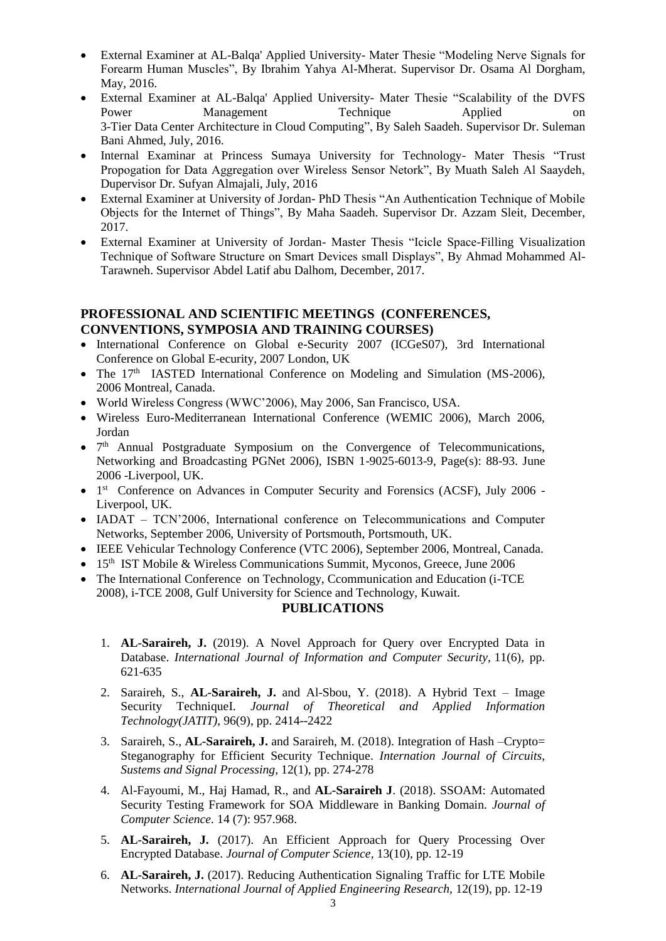- External Examiner at AL-Balqa' Applied University- Mater Thesie "Modeling Nerve Signals for Forearm Human Muscles", By Ibrahim Yahya Al-Mherat. Supervisor Dr. Osama Al Dorgham, May, 2016.
- External Examiner at AL-Balqa' Applied University- Mater Thesie "Scalability of the DVFS Power Management Technique Applied on 3-Tier Data Center Architecture in Cloud Computing", By Saleh Saadeh. Supervisor Dr. Suleman Bani Ahmed, July, 2016.
- Internal Examinar at Princess Sumaya University for Technology- Mater Thesis "Trust Propogation for Data Aggregation over Wireless Sensor Netork", By Muath Saleh Al Saaydeh, Dupervisor Dr. Sufyan Almajali, July, 2016
- External Examiner at University of Jordan- PhD Thesis "An Authentication Technique of Mobile Objects for the Internet of Things", By Maha Saadeh. Supervisor Dr. Azzam Sleit, December, 2017.
- External Examiner at University of Jordan- Master Thesis "Icicle Space-Filling Visualization Technique of Software Structure on Smart Devices small Displays", By Ahmad Mohammed Al-Tarawneh. Supervisor Abdel Latif abu Dalhom, December, 2017.

# **PROFESSIONAL AND SCIENTIFIC MEETINGS (CONFERENCES, CONVENTIONS, SYMPOSIA AND TRAINING COURSES)**

- International Conference on Global e-Security 2007 (ICGeS07), 3rd International Conference on Global E-ecurity, 2007 London, UK
- The 17<sup>th</sup> IASTED International Conference on Modeling and Simulation (MS-2006), 2006 Montreal, Canada.
- World Wireless Congress (WWC'2006), May 2006, San Francisco, USA.
- Wireless Euro-Mediterranean International Conference (WEMIC 2006), March 2006, Jordan
- 7<sup>th</sup> Annual Postgraduate Symposium on the Convergence of Telecommunications, Networking and Broadcasting PGNet 2006), ISBN 1-9025-6013-9, Page(s): 88-93. June 2006 -Liverpool, UK.
- 1<sup>st</sup> Conference on Advances in Computer Security and Forensics (ACSF), July 2006 -Liverpool, UK.
- IADAT TCN'2006, International conference on Telecommunications and Computer Networks, September 2006, University of Portsmouth, Portsmouth, UK.
- IEEE Vehicular Technology Conference (VTC 2006), September 2006, Montreal, Canada.
- 15<sup>th</sup> IST Mobile & Wireless Communications Summit, Myconos, Greece, June 2006
- The International Conference on Technology, Ccommunication and Education (i-TCE 2008), i-TCE 2008, Gulf University for Science and Technology, Kuwait.

# **PUBLICATIONS**

- 1. **AL-Saraireh, J.** (2019). A Novel Approach for Query over Encrypted Data in Database. *International Journal of Information and Computer Security,* 11(6), pp. 621-635
- 2. Saraireh, S., **AL-Saraireh, J.** and Al-Sbou, Y. (2018). A Hybrid Text Image Security TechniqueI. *Journal of Theoretical and Applied Information Technology(JATIT)*, 96(9), pp. 2414--2422
- 3. Saraireh, S., **AL-Saraireh, J.** and Saraireh, M. (2018). Integration of Hash –Crypto= Steganography for Efficient Security Technique. *Internation Journal of Circuits, Sustems and Signal Processing,* 12(1), pp. 274-278
- 4. Al-Fayoumi, M., Haj Hamad, R., and **AL-Saraireh J**. (2018). SSOAM: Automated Security Testing Framework for SOA Middleware in Banking Domain. *Journal of Computer Science.* 14 (7): 957.968.
- 5. **AL-Saraireh, J.** (2017). An Efficient Approach for Query Processing Over Encrypted Database. *Journal of Computer Science,* 13(10), pp. 12-19
- 6. **AL-Saraireh, J.** (2017). Reducing Authentication Signaling Traffic for LTE Mobile Networks. *International Journal of Applied Engineering Research,* 12(19), pp. 12-19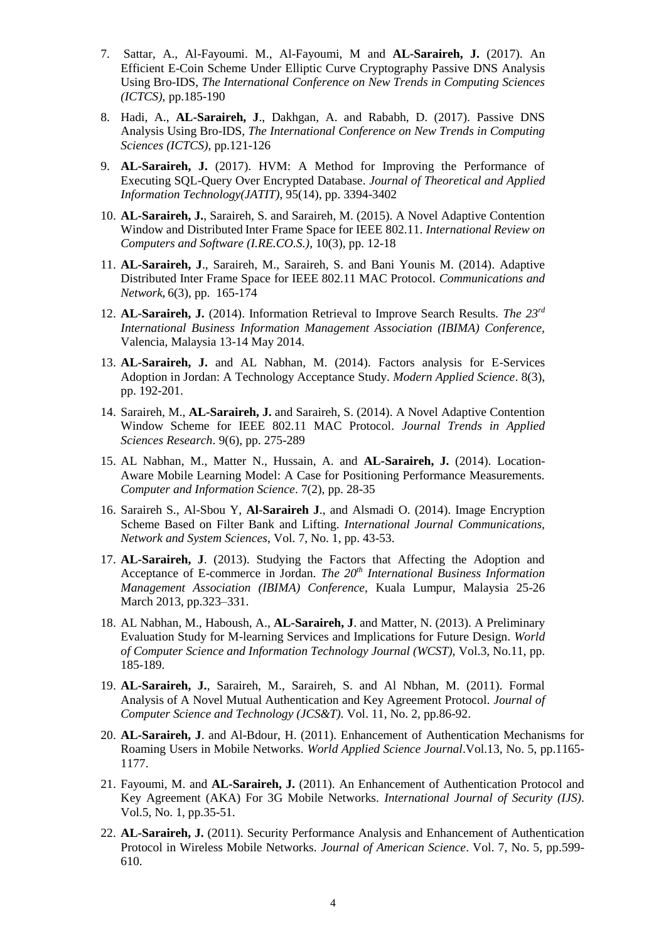- 7. Sattar, A., Al-Fayoumi. M., Al-Fayoumi, M and **AL-Saraireh, J.** (2017). An Efficient E-Coin Scheme Under Elliptic Curve Cryptography Passive DNS Analysis Using Bro-IDS, *The International Conference on New Trends in Computing Sciences (ICTCS),* pp.185-190
- 8. Hadi, A., **AL-Saraireh, J**., Dakhgan, A. and Rababh, D. (2017). Passive DNS Analysis Using Bro-IDS, *The International Conference on New Trends in Computing Sciences (ICTCS),* pp.121-126
- 9. **AL-Saraireh, J.** (2017). HVM: A Method for Improving the Performance of Executing SQL-Query Over Encrypted Database. *Journal of Theoretical and Applied Information Technology(JATIT)*, 95(14), pp. 3394-3402
- 10. **AL-Saraireh, J.**, Saraireh, S. and Saraireh, M. (2015). A Novel Adaptive Contention Window and Distributed Inter Frame Space for IEEE 802.11. *International Review on Computers and Software (I.RE.CO.S.)*, 10(3), pp. 12-18
- 11. **AL-Saraireh, J**., Saraireh, M., Saraireh, S. and Bani Younis M. (2014). Adaptive Distributed Inter Frame Space for IEEE 802.11 MAC Protocol. *Communications and Network***,** 6(3), pp. 165-174
- 12. **AL-Saraireh, J.** (2014). Information Retrieval to Improve Search Results. *The 23rd International Business Information Management Association (IBIMA) Conference,*  Valencia, Malaysia 13-14 May 2014.
- 13. **AL-Saraireh, J.** and AL Nabhan, M. (2014). Factors analysis for E-Services Adoption in Jordan: A Technology Acceptance Study. *Modern Applied Science*. 8(3), pp. 192-201.
- 14. Saraireh, M., **AL-Saraireh, J.** and Saraireh, S. (2014). A Novel Adaptive Contention Window Scheme for IEEE 802.11 MAC Protocol. *Journal Trends in Applied Sciences Research*. 9(6), pp. 275-289
- 15. AL Nabhan, M., Matter N., Hussain, A. and **AL-Saraireh, J.** (2014). Location-Aware Mobile Learning Model: A Case for Positioning Performance Measurements. *Computer and Information Science*. 7(2), pp. 28-35
- 16. Saraireh S., Al-Sbou Y, **Al-Saraireh J**., and Alsmadi O. (2014). Image Encryption Scheme Based on Filter Bank and Lifting. *International Journal Communications, Network and System Sciences*, Vol. 7, No. 1, pp. 43-53.
- 17. **AL-Saraireh, J**. (2013). Studying the Factors that Affecting the Adoption and Acceptance of E-commerce in Jordan. *The 20th International Business Information Management Association (IBIMA) Conference,* Kuala Lumpur, Malaysia 25-26 March 2013, pp.323–331.
- 18. AL Nabhan, M., Haboush, A., **AL-Saraireh, J**. and Matter, N. (2013). A Preliminary Evaluation Study for M-learning Services and Implications for Future Design. *World of Computer Science and Information Technology Journal (WCST),* Vol.3, No.11, pp. 185-189.
- 19. **AL-Saraireh, J.**, Saraireh, M., Saraireh, S. and Al Nbhan, M. (2011). Formal Analysis of A Novel Mutual Authentication and Key Agreement Protocol. *Journal of Computer Science and Technology (JCS&T)*. Vol. 11, No. 2, pp.86-92.
- 20. **AL-Saraireh, J**. and Al-Bdour, H. (2011). Enhancement of Authentication Mechanisms for Roaming Users in Mobile Networks. *World Applied Science Journal*.Vol.13, No. 5, pp.1165- 1177.
- 21. Fayoumi, M. and **AL-Saraireh, J.** (2011). An Enhancement of Authentication Protocol and Key Agreement (AKA) For 3G Mobile Networks. *International Journal of Security (IJS)*. Vol.5, No. 1, pp.35-51.
- 22. **AL-Saraireh, J.** (2011). Security Performance Analysis and Enhancement of Authentication Protocol in Wireless Mobile Networks. *Journal of American Science*. Vol. 7, No. 5, pp.599- 610.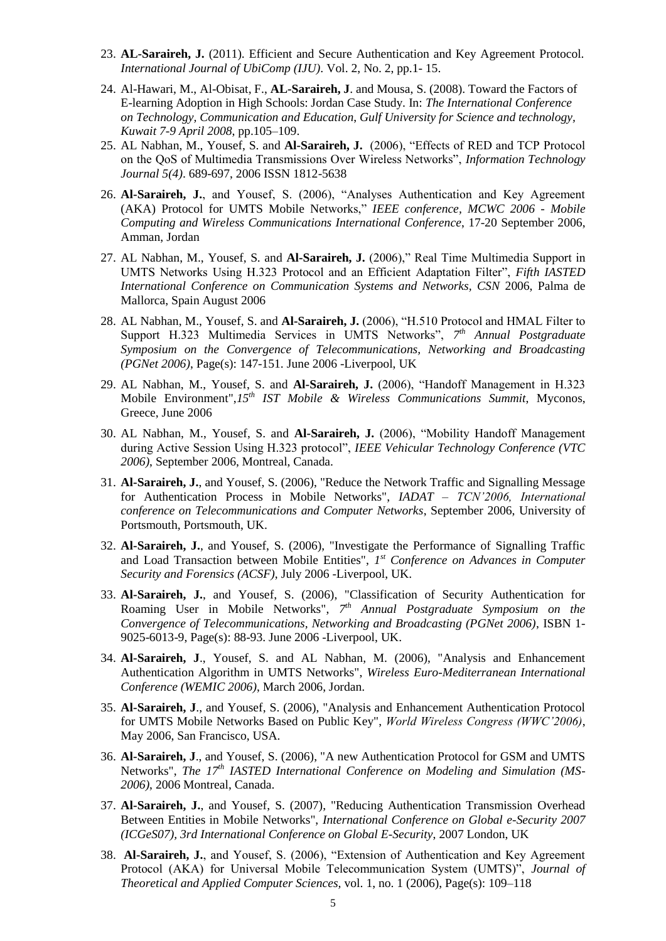- 23. **AL-Saraireh, J.** (2011). Efficient and Secure Authentication and Key Agreement Protocol. *International Journal of UbiComp (IJU)*. Vol. 2, No. 2, pp.1- 15.
- 24. Al-Hawari, M., Al-Obisat, F., **AL-Saraireh, J**. and Mousa, S. (2008). Toward the Factors of E-learning Adoption in High Schools: Jordan Case Study. In: *The International Conference on Technology, Communication and Education*, *Gulf University for Science and technology, Kuwait 7-9 April 2008*, pp.105–109.
- 25. AL Nabhan, M., Yousef, S. and **Al-Saraireh, J.** (2006), "Effects of RED and TCP Protocol on the QoS of Multimedia Transmissions Over Wireless Networks", *Information Technology Journal 5(4)*. 689-697, 2006 ISSN 1812-5638
- 26. **Al-Saraireh, J.**, and Yousef, S. (2006), "Analyses Authentication and Key Agreement (AKA) Protocol for UMTS Mobile Networks," *IEEE conference, [MCWC 2006 -](http://hoj-mcwc.org/2006) Mobile [Computing and Wireless Communications International Conference](http://hoj-mcwc.org/2006)*, 17-20 September 2006, [Amman, Jordan](http://hoj-mcwc.org/2006)
- 27. AL Nabhan, M., Yousef, S. and **Al-Saraireh, J.** (2006)," Real Time Multimedia Support in UMTS Networks Using H.323 Protocol and an Efficient Adaptation Filter", *Fifth IASTED International Conference on Communication Systems and Networks, CSN* 2006, Palma de Mallorca, Spain August 2006
- 28. AL Nabhan, M., Yousef, S. and **Al-Saraireh, J.** (2006), "H.510 Protocol and HMAL Filter to Support H.323 Multimedia Services in UMTS Networks", *7 th Annual Postgraduate Symposium on the Convergence of Telecommunications, Networking and Broadcasting (PGNet 2006)*, Page(s): 147-151. June 2006 -Liverpool, UK
- 29. AL Nabhan, M., Yousef, S. and **Al-Saraireh, J.** (2006), "Handoff Management in H.323 Mobile Environment",*15th IST Mobile & Wireless Communications Summit*, Myconos, Greece, June 2006
- 30. AL Nabhan, M., Yousef, S. and **Al-Saraireh, J.** (2006), "Mobility Handoff Management during Active Session Using H.323 protocol", *IEEE Vehicular Technology Conference (VTC 2006)*, September 2006, Montreal, Canada.
- 31. **Al-Saraireh, J.**, and Yousef, S. (2006), "Reduce the Network Traffic and Signalling Message for Authentication Process in Mobile Networks", *IADAT – TCN'2006, International conference on Telecommunications and Computer Networks*, September 2006, University of Portsmouth, Portsmouth, UK.
- 32. **Al-Saraireh, J.**, and Yousef, S. (2006), "Investigate the Performance of Signalling Traffic and Load Transaction between Mobile Entities", 1<sup>st</sup> Conference on Advances in Computer *Security and Forensics (ACSF)*, July 2006 -Liverpool, UK.
- 33. **Al-Saraireh, J.**, and Yousef, S. (2006), "Classification of Security Authentication for Roaming User in Mobile Networks", *7 th Annual Postgraduate Symposium on the Convergence of Telecommunications, Networking and Broadcasting (PGNet 2006)*, ISBN 1- 9025-6013-9, Page(s): 88-93. June 2006 -Liverpool, UK.
- 34. **Al-Saraireh, J**., Yousef, S. and AL Nabhan, M. (2006), "Analysis and Enhancement Authentication Algorithm in UMTS Networks", *Wireless Euro-Mediterranean International Conference (WEMIC 2006)*, March 2006, Jordan.
- 35. **Al-Saraireh, J**., and Yousef, S. (2006), "Analysis and Enhancement Authentication Protocol for UMTS Mobile Networks Based on Public Key", *World Wireless Congress (WWC'2006)*, May 2006, San Francisco, USA.
- 36. **Al-Saraireh, J**., and Yousef, S. (2006), "A new Authentication Protocol for GSM and UMTS Networks", *The 17th IASTED International Conference on Modeling and Simulation (MS-2006)*, 2006 Montreal, Canada.
- 37. **Al-Saraireh, J.**, and Yousef, S. (2007), "Reducing Authentication Transmission Overhead Between Entities in Mobile Networks", *International Conference on Global e-Security 2007 (ICGeS07), 3rd International Conference on Global E-Security*, 2007 London, UK
- 38. **Al-Saraireh, J.**, and Yousef, S. (2006), "Extension of Authentication and Key Agreement Protocol (AKA) for Universal Mobile Telecommunication System (UMTS)", *Journal of Theoretical and Applied Computer Sciences,* vol. 1, no. 1 (2006), Page(s): 109–118